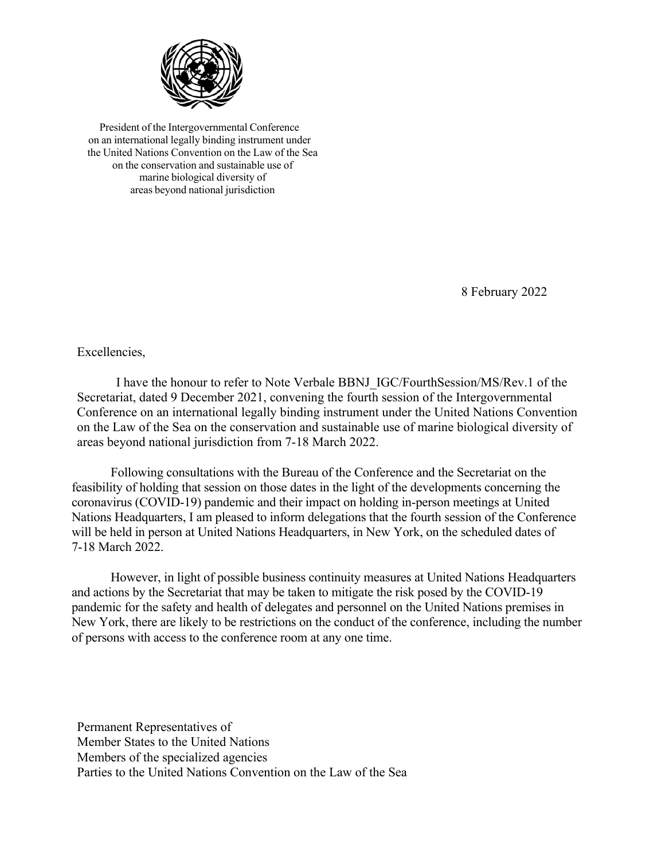

President of the Intergovernmental Conference on an international legally binding instrument under the United Nations Convention on the Law of the Sea on the conservation and sustainable use of marine biological diversity of areas beyond national jurisdiction

8 February 2022

Excellencies,

I have the honour to refer to Note Verbale BBNJ\_IGC/FourthSession/MS/Rev.1 of the Secretariat, dated 9 December 2021, convening the fourth session of the Intergovernmental Conference on an international legally binding instrument under the United Nations Convention on the Law of the Sea on the conservation and sustainable use of marine biological diversity of areas beyond national jurisdiction from 7-18 March 2022.

Following consultations with the Bureau of the Conference and the Secretariat on the feasibility of holding that session on those dates in the light of the developments concerning the coronavirus (COVID-19) pandemic and their impact on holding in-person meetings at United Nations Headquarters, I am pleased to inform delegations that the fourth session of the Conference will be held in person at United Nations Headquarters, in New York, on the scheduled dates of 7-18 March 2022.

However, in light of possible business continuity measures at United Nations Headquarters and actions by the Secretariat that may be taken to mitigate the risk posed by the COVID-19 pandemic for the safety and health of delegates and personnel on the United Nations premises in New York, there are likely to be restrictions on the conduct of the conference, including the number of persons with access to the conference room at any one time.

Permanent Representatives of Member States to the United Nations Members of the specialized agencies Parties to the United Nations Convention on the Law of the Sea